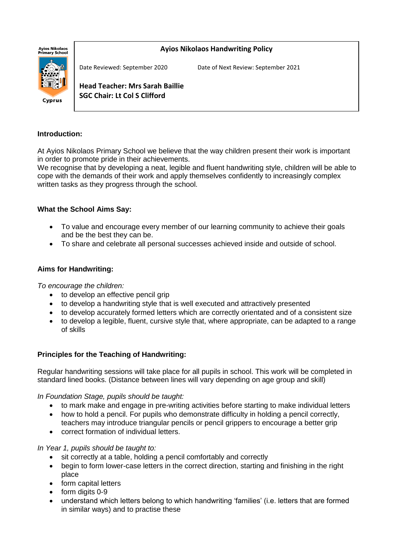

# Cyprus

**Ayios Nikolaos Handwriting Policy**

Date Reviewed: September 2020 Date of Next Review: September 2021

**Head Teacher: Mrs Sarah Baillie SGC Chair: Lt Col S Clifford**

# **Introduction:**

At Ayios Nikolaos Primary School we believe that the way children present their work is important in order to promote pride in their achievements.

We recognise that by developing a neat, legible and fluent handwriting style, children will be able to cope with the demands of their work and apply themselves confidently to increasingly complex written tasks as they progress through the school.

# **What the School Aims Say:**

- To value and encourage every member of our learning community to achieve their goals and be the best they can be.
- To share and celebrate all personal successes achieved inside and outside of school.

# **Aims for Handwriting:**

*To encourage the children:*

- to develop an effective pencil grip
- to develop a handwriting style that is well executed and attractively presented
- to develop accurately formed letters which are correctly orientated and of a consistent size
- to develop a legible, fluent, cursive style that, where appropriate, can be adapted to a range of skills

# **Principles for the Teaching of Handwriting:**

Regular handwriting sessions will take place for all pupils in school. This work will be completed in standard lined books. (Distance between lines will vary depending on age group and skill)

# *In Foundation Stage, pupils should be taught:*

- to mark make and engage in pre-writing activities before starting to make individual letters
- how to hold a pencil. For pupils who demonstrate difficulty in holding a pencil correctly, teachers may introduce triangular pencils or pencil grippers to encourage a better grip
- correct formation of individual letters.

## *In Year 1, pupils should be taught to:*

- sit correctly at a table, holding a pencil comfortably and correctly
- begin to form lower-case letters in the correct direction, starting and finishing in the right place
- form capital letters
- form digits 0-9
- understand which letters belong to which handwriting 'families' (i.e. letters that are formed in similar ways) and to practise these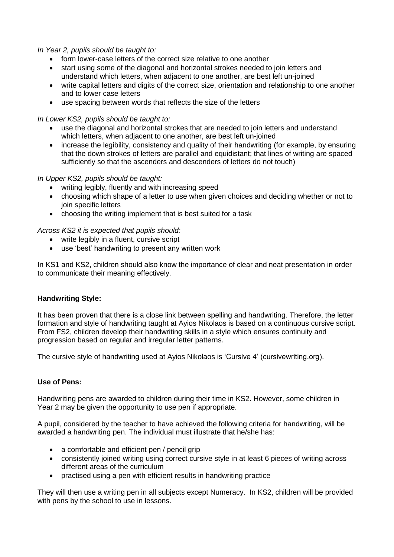*In Year 2, pupils should be taught to:* 

- form lower-case letters of the correct size relative to one another
- start using some of the diagonal and horizontal strokes needed to join letters and understand which letters, when adjacent to one another, are best left un-joined
- write capital letters and digits of the correct size, orientation and relationship to one another and to lower case letters
- use spacing between words that reflects the size of the letters

### *In Lower KS2, pupils should be taught to:*

- use the diagonal and horizontal strokes that are needed to join letters and understand which letters, when adjacent to one another, are best left un-joined
- increase the legibility, consistency and quality of their handwriting (for example, by ensuring that the down strokes of letters are parallel and equidistant; that lines of writing are spaced sufficiently so that the ascenders and descenders of letters do not touch)

### *In Upper KS2, pupils should be taught:*

- writing legibly, fluently and with increasing speed
- choosing which shape of a letter to use when given choices and deciding whether or not to join specific letters
- choosing the writing implement that is best suited for a task

### *Across KS2 it is expected that pupils should:*

- write legibly in a fluent, cursive script
- use 'best' handwriting to present any written work

In KS1 and KS2, children should also know the importance of clear and neat presentation in order to communicate their meaning effectively.

### **Handwriting Style:**

It has been proven that there is a close link between spelling and handwriting. Therefore, the letter formation and style of handwriting taught at Ayios Nikolaos is based on a continuous cursive script. From FS2, children develop their handwriting skills in a style which ensures continuity and progression based on regular and irregular letter patterns.

The cursive style of handwriting used at Ayios Nikolaos is 'Cursive 4' (cursivewriting.org).

## **Use of Pens:**

Handwriting pens are awarded to children during their time in KS2. However, some children in Year 2 may be given the opportunity to use pen if appropriate.

A pupil, considered by the teacher to have achieved the following criteria for handwriting, will be awarded a handwriting pen. The individual must illustrate that he/she has:

- a comfortable and efficient pen / pencil grip
- consistently joined writing using correct cursive style in at least 6 pieces of writing across different areas of the curriculum
- practised using a pen with efficient results in handwriting practice

They will then use a writing pen in all subjects except Numeracy. In KS2, children will be provided with pens by the school to use in lessons.